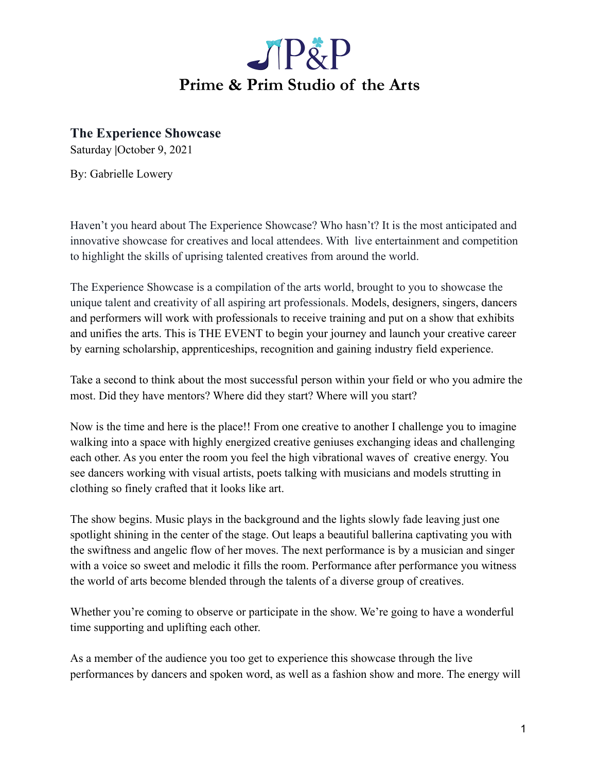

**The Experience Showcase**

Saturday **|**October 9, 2021

By: Gabrielle Lowery

Haven't you heard about The Experience Showcase? Who hasn't? It is the most anticipated and innovative showcase for creatives and local attendees. With live entertainment and competition to highlight the skills of uprising talented creatives from around the world.

The Experience Showcase is a compilation of the arts world, brought to you to showcase the unique talent and creativity of all aspiring art professionals. Models, designers, singers, dancers and performers will work with professionals to receive training and put on a show that exhibits and unifies the arts. This is THE EVENT to begin your journey and launch your creative career by earning scholarship, apprenticeships, recognition and gaining industry field experience.

Take a second to think about the most successful person within your field or who you admire the most. Did they have mentors? Where did they start? Where will you start?

Now is the time and here is the place!! From one creative to another I challenge you to imagine walking into a space with highly energized creative geniuses exchanging ideas and challenging each other. As you enter the room you feel the high vibrational waves of creative energy. You see dancers working with visual artists, poets talking with musicians and models strutting in clothing so finely crafted that it looks like art.

The show begins. Music plays in the background and the lights slowly fade leaving just one spotlight shining in the center of the stage. Out leaps a beautiful ballerina captivating you with the swiftness and angelic flow of her moves. The next performance is by a musician and singer with a voice so sweet and melodic it fills the room. Performance after performance you witness the world of arts become blended through the talents of a diverse group of creatives.

Whether you're coming to observe or participate in the show. We're going to have a wonderful time supporting and uplifting each other.

As a member of the audience you too get to experience this showcase through the live performances by dancers and spoken word, as well as a fashion show and more. The energy will